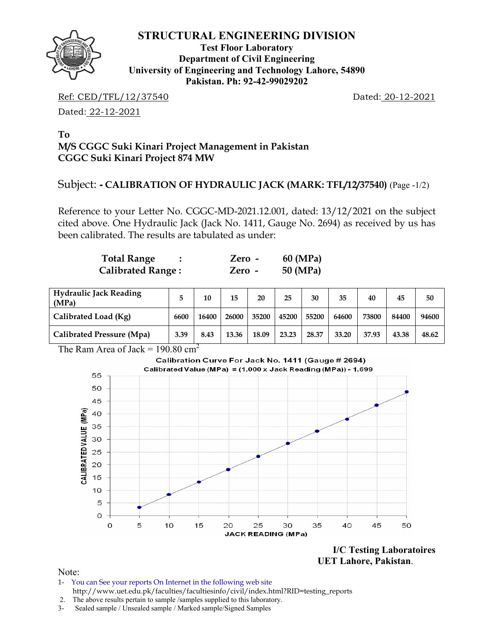

**Test Floor Laboratory Department of Civil Engineering University of Engineering and Technology Lahore, 54890 Pakistan. Ph: 92-42-99029202** 

Ref: CED/TFL/12/37540 Dated: 20-12-2021

Dated: 22-12-2021

## **To M/S CGGC Suki Kinari Project Management in Pakistan CGGC Suki Kinari Project 874 MW**

## Subject: **- CALIBRATION OF HYDRAULIC JACK (MARK: TFL/12/37540)** (Page -1/2)

Reference to your Letter No. CGGC-MD-2021.12.001, dated: 13/12/2021 on the subject cited above. One Hydraulic Jack (Jack No. 1411, Gauge No. 2694) as received by us has been calibrated. The results are tabulated as under:

| <b>Total Range</b>       | Zero -   | 60 (MPa) |
|--------------------------|----------|----------|
| <b>Calibrated Range:</b> | $Zero -$ | 50 (MPa) |

| <b>Hydraulic Jack Reading</b><br>(MPa) |      | 10    | 15    | 20    | 25    | 30    | 35    | 40    | 45    | 50    |
|----------------------------------------|------|-------|-------|-------|-------|-------|-------|-------|-------|-------|
| Calibrated Load (Kg)                   | 6600 | 16400 | 26000 | 35200 | 45200 | 55200 | 64600 | 73800 | 84400 | 94600 |
| Calibrated Pressure (Mpa)              | 3.39 | 8.43  | 13.36 | 18.09 | 23.23 | 28.37 | 33.20 | 37.93 | 43.38 | 48.62 |

The Ram Area of Jack =  $190.80 \text{ cm}^2$ 



**I/C Testing Laboratoires UET Lahore, Pakistan**.

Note:

- 1- You can See your reports On Internet in the following web site http://www.uet.edu.pk/faculties/facultiesinfo/civil/index.html?RID=testing\_reports
- 2. The above results pertain to sample /samples supplied to this laboratory.
- 3- Sealed sample / Unsealed sample / Marked sample/Signed Samples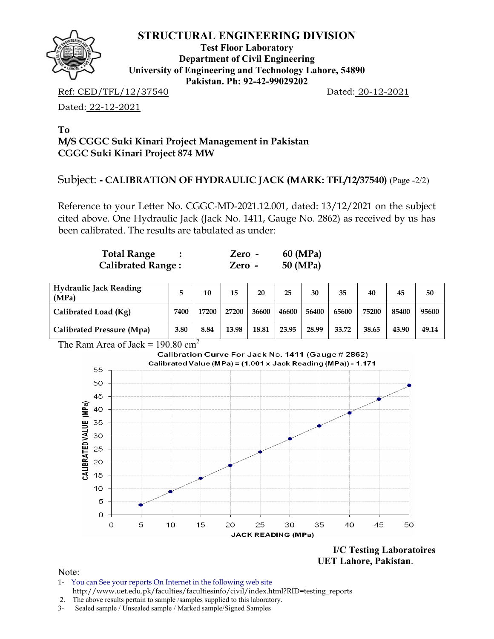

**Test Floor Laboratory Department of Civil Engineering University of Engineering and Technology Lahore, 54890 Pakistan. Ph: 92-42-99029202** 

Ref: CED/TFL/12/37540 Dated: 20-12-2021

Dated: 22-12-2021

### **To M/S CGGC Suki Kinari Project Management in Pakistan CGGC Suki Kinari Project 874 MW**

## Subject: **- CALIBRATION OF HYDRAULIC JACK (MARK: TFL/12/37540)** (Page -2/2)

Reference to your Letter No. CGGC-MD-2021.12.001, dated: 13/12/2021 on the subject cited above. One Hydraulic Jack (Jack No. 1411, Gauge No. 2862) as received by us has been calibrated. The results are tabulated as under:

| <b>Total Range</b>       | Zero - | 60 (MPa) |
|--------------------------|--------|----------|
| <b>Calibrated Range:</b> | Zero - | 50 (MPa) |

| <b>Hydraulic Jack Reading</b><br>(MPa) |      | 10    | 15    | 20    | 25    | 30    | 35    | 40    | 45    | 50    |
|----------------------------------------|------|-------|-------|-------|-------|-------|-------|-------|-------|-------|
| Calibrated Load (Kg)                   | 7400 | 17200 | 27200 | 36600 | 46600 | 56400 | 65600 | 75200 | 85400 | 95600 |
| Calibrated Pressure (Mpa)              | 3.80 | 8.84  | 13.98 | 18.81 | 23.95 | 28.99 | 33.72 | 38.65 | 43.90 | 49.14 |

The Ram Area of Jack =  $190.80 \text{ cm}^2$ 



**I/C Testing Laboratoires UET Lahore, Pakistan**.

Note:

- 1- You can See your reports On Internet in the following web site http://www.uet.edu.pk/faculties/facultiesinfo/civil/index.html?RID=testing\_reports
- 2. The above results pertain to sample /samples supplied to this laboratory.
- 3- Sealed sample / Unsealed sample / Marked sample/Signed Samples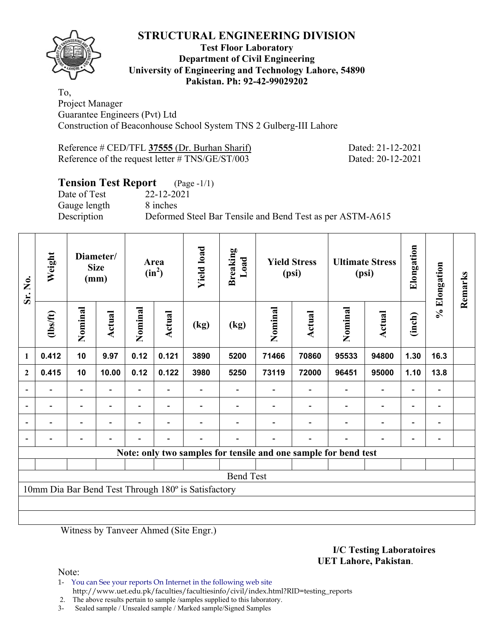

### **Test Floor Laboratory Department of Civil Engineering University of Engineering and Technology Lahore, 54890 Pakistan. Ph: 92-42-99029202**

To, Project Manager Guarantee Engineers (Pvt) Ltd Construction of Beaconhouse School System TNS 2 Gulberg-III Lahore

| Reference # CED/TFL 37555 (Dr. Burhan Sharif)   |  |  |
|-------------------------------------------------|--|--|
| Reference of the request letter # TNS/GE/ST/003 |  |  |

Dated: 21-12-2021 Dated: 20-12-2021

## **Tension Test Report** (Page -1/1)

Date of Test 22-12-2021 Gauge length 8 inches

Description Deformed Steel Bar Tensile and Bend Test as per ASTM-A615

| Sr. No.                  | Weight                                              |                          | Diameter/<br><b>Size</b><br>(mm) |                          | Area<br>$(in^2)$         | <b>Yield load</b> | <b>Breaking</b><br>Load                                         |         | <b>Yield Stress</b><br>(psi) |                          | <b>Ultimate Stress</b><br>(psi) | Elongation               | % Elongation   | Remarks |
|--------------------------|-----------------------------------------------------|--------------------------|----------------------------------|--------------------------|--------------------------|-------------------|-----------------------------------------------------------------|---------|------------------------------|--------------------------|---------------------------------|--------------------------|----------------|---------|
|                          | (1bs/ft)                                            | Nominal                  | Actual                           | Nominal                  | Actual                   | (kg)              | (kg)                                                            | Nominal | Actual                       | Nominal                  | Actual                          | (inch)                   |                |         |
| 1                        | 0.412                                               | 10                       | 9.97                             | 0.12                     | 0.121                    | 3890              | 5200                                                            | 71466   | 70860                        | 95533                    | 94800                           | 1.30                     | 16.3           |         |
| $\overline{2}$           | 0.415                                               | 10                       | 10.00                            | 0.12                     | 0.122                    | 3980              | 5250                                                            | 73119   | 72000                        | 96451                    | 95000                           | 1.10                     | 13.8           |         |
| $\overline{\phantom{a}}$ |                                                     | $\overline{\phantom{0}}$ | $\overline{\phantom{0}}$         | $\overline{\phantom{0}}$ | $\overline{\phantom{a}}$ |                   |                                                                 |         |                              | $\blacksquare$           | $\overline{a}$                  | $\overline{\phantom{a}}$ | $\blacksquare$ |         |
| $\overline{\phantom{0}}$ | $\blacksquare$                                      | $\overline{\phantom{0}}$ |                                  | $\overline{\phantom{0}}$ | $\blacksquare$           |                   |                                                                 |         | $\blacksquare$               | $\blacksquare$           | $\overline{a}$                  | $\overline{\phantom{a}}$ | $\blacksquare$ |         |
|                          |                                                     |                          |                                  | $\overline{\phantom{0}}$ | $\overline{\phantom{a}}$ |                   |                                                                 |         | $\overline{\phantom{a}}$     | $\overline{\phantom{0}}$ | $\overline{\phantom{0}}$        | $\overline{\phantom{0}}$ |                |         |
|                          |                                                     |                          |                                  |                          | $\blacksquare$           |                   |                                                                 |         | $\blacksquare$               |                          | $\blacksquare$                  | $\blacksquare$           |                |         |
|                          |                                                     |                          |                                  |                          |                          |                   | Note: only two samples for tensile and one sample for bend test |         |                              |                          |                                 |                          |                |         |
|                          |                                                     |                          |                                  |                          |                          |                   |                                                                 |         |                              |                          |                                 |                          |                |         |
|                          |                                                     |                          |                                  |                          |                          |                   | <b>Bend Test</b>                                                |         |                              |                          |                                 |                          |                |         |
|                          | 10mm Dia Bar Bend Test Through 180° is Satisfactory |                          |                                  |                          |                          |                   |                                                                 |         |                              |                          |                                 |                          |                |         |
|                          |                                                     |                          |                                  |                          |                          |                   |                                                                 |         |                              |                          |                                 |                          |                |         |
|                          |                                                     |                          |                                  |                          |                          |                   |                                                                 |         |                              |                          |                                 |                          |                |         |

Witness by Tanveer Ahmed (Site Engr.)

#### **I/C Testing Laboratoires UET Lahore, Pakistan**.

Note:

1- You can See your reports On Internet in the following web site http://www.uet.edu.pk/faculties/facultiesinfo/civil/index.html?RID=testing\_reports

2. The above results pertain to sample /samples supplied to this laboratory.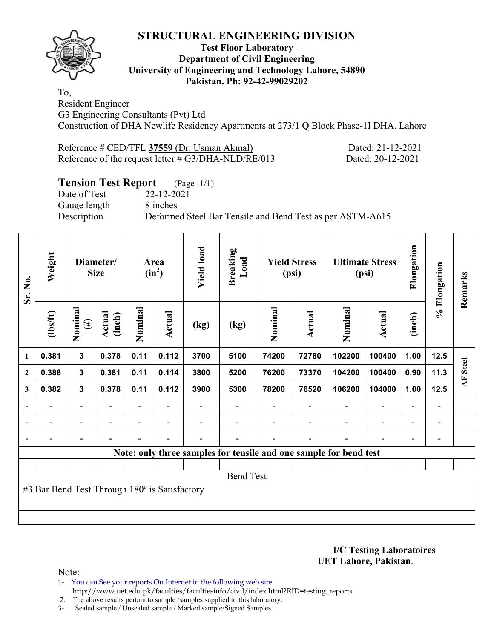

### **Test Floor Laboratory Department of Civil Engineering University of Engineering and Technology Lahore, 54890 Pakistan. Ph: 92-42-99029202**

To, Resident Engineer G3 Engineering Consultants (Pvt) Ltd Construction of DHA Newlife Residency Apartments at 273/1 Q Block Phase-1I DHA, Lahore

Reference # CED/TFL **37559** (Dr. Usman Akmal) Dated: 21-12-2021 Reference of the request letter # G3/DHA-NLD/RE/013 Dated: 20-12-2021

## **Tension Test Report** (Page -1/1)

Date of Test 22-12-2021 Gauge length 8 inches

Description Deformed Steel Bar Tensile and Bend Test as per ASTM-A615

| Sr. No.      | Weight                                        |                          | Diameter/<br><b>Size</b> |                          |                          |                |                  |         | Area<br>$(in^2)$         | <b>Yield load</b>                                                 | <b>Breaking</b><br>Load      |                | <b>Yield Stress</b><br>(psi) |                 | <b>Ultimate Stress</b><br>(psi) | Elongation | % Elongation | Remarks |
|--------------|-----------------------------------------------|--------------------------|--------------------------|--------------------------|--------------------------|----------------|------------------|---------|--------------------------|-------------------------------------------------------------------|------------------------------|----------------|------------------------------|-----------------|---------------------------------|------------|--------------|---------|
| 1            | $\frac{2}{10}$                                | Nominal<br>$(\#)$        | Actual<br>(inch)         | Nominal                  | <b>Actual</b>            | (kg)           | (kg)             | Nominal | <b>Actual</b>            | Nominal                                                           | <b>Actual</b>                | (inch)         |                              |                 |                                 |            |              |         |
|              | 0.381                                         | $\mathbf{3}$             | 0.378                    | 0.11                     | 0.112                    | 3700           | 5100             | 74200   | 72780                    | 102200                                                            | 100400                       | 1.00           | 12.5                         |                 |                                 |            |              |         |
| $\mathbf{2}$ | 0.388                                         | $\mathbf{3}$             | 0.381                    | 0.11                     | 0.114                    | 3800           | 5200             | 76200   | 73370                    | 104200                                                            | 100400                       | 0.90           | 11.3                         | <b>AF</b> Steel |                                 |            |              |         |
| 3            | 0.382                                         | $\mathbf{3}$             | 0.378                    | 0.11                     | 0.112                    | 3900           | 5300             | 78200   | 76520                    | 106200                                                            | 104000                       | 1.00           | 12.5                         |                 |                                 |            |              |         |
|              | $\overline{\phantom{0}}$                      | $\overline{\phantom{a}}$ | $\overline{\phantom{0}}$ |                          | $\overline{\phantom{0}}$ |                |                  |         | $\overline{\phantom{a}}$ | $\overline{\phantom{a}}$                                          | $\overline{\phantom{a}}$     | $\blacksquare$ | $\overline{\phantom{a}}$     |                 |                                 |            |              |         |
|              | $\overline{\phantom{0}}$                      | $\overline{\phantom{a}}$ | $\blacksquare$           | Ξ.                       | $\blacksquare$           | -              |                  |         | $\blacksquare$           | $\blacksquare$                                                    | $\qquad \qquad \blacksquare$ | $\blacksquare$ | $\overline{\phantom{a}}$     |                 |                                 |            |              |         |
|              | $\overline{\phantom{0}}$                      | $\overline{\phantom{a}}$ |                          | $\overline{\phantom{0}}$ | $\overline{\phantom{0}}$ | $\blacksquare$ |                  |         | $\overline{\phantom{0}}$ | $\overline{\phantom{0}}$                                          | $\overline{\phantom{0}}$     | $\blacksquare$ | $\overline{a}$               |                 |                                 |            |              |         |
|              |                                               |                          |                          |                          |                          |                |                  |         |                          | Note: only three samples for tensile and one sample for bend test |                              |                |                              |                 |                                 |            |              |         |
|              |                                               |                          |                          |                          |                          |                |                  |         |                          |                                                                   |                              |                |                              |                 |                                 |            |              |         |
|              |                                               |                          |                          |                          |                          |                | <b>Bend Test</b> |         |                          |                                                                   |                              |                |                              |                 |                                 |            |              |         |
|              | #3 Bar Bend Test Through 180° is Satisfactory |                          |                          |                          |                          |                |                  |         |                          |                                                                   |                              |                |                              |                 |                                 |            |              |         |
|              |                                               |                          |                          |                          |                          |                |                  |         |                          |                                                                   |                              |                |                              |                 |                                 |            |              |         |
|              |                                               |                          |                          |                          |                          |                |                  |         |                          |                                                                   |                              |                |                              |                 |                                 |            |              |         |

**I/C Testing Laboratoires UET Lahore, Pakistan**.

Note:

1- You can See your reports On Internet in the following web site http://www.uet.edu.pk/faculties/facultiesinfo/civil/index.html?RID=testing\_reports

2. The above results pertain to sample /samples supplied to this laboratory.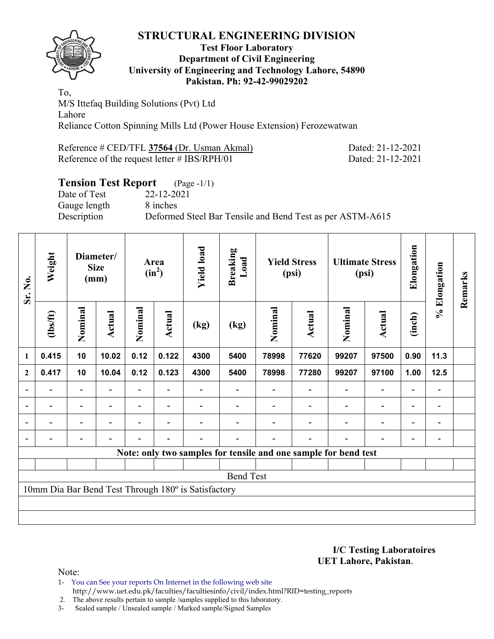

### **Test Floor Laboratory Department of Civil Engineering University of Engineering and Technology Lahore, 54890 Pakistan. Ph: 92-42-99029202**

To, M/S Ittefaq Building Solutions (Pvt) Ltd Lahore Reliance Cotton Spinning Mills Ltd (Power House Extension) Ferozewatwan

| Reference # CED/TFL 37564 (Dr. Usman Akmal)     | Dated: 21-12-2021 |
|-------------------------------------------------|-------------------|
| Reference of the request letter $\#$ IBS/RPH/01 | Dated: 21-12-2021 |

# **Tension Test Report** (Page -1/1)

Date of Test 22-12-2021 Gauge length 8 inches

Description Deformed Steel Bar Tensile and Bend Test as per ASTM-A615

| Sr. No.                  | Weight                                              |                          | Diameter/<br><b>Size</b><br>(mm) |                          | Area<br>$(in^2)$         | <b>Yield load</b><br><b>Breaking</b> |                  |         | <b>Yield Stress</b><br>(psi)                                    |                          | <b>Ultimate Stress</b><br>(psi) | Elongation               | % Elongation                 | Remarks |
|--------------------------|-----------------------------------------------------|--------------------------|----------------------------------|--------------------------|--------------------------|--------------------------------------|------------------|---------|-----------------------------------------------------------------|--------------------------|---------------------------------|--------------------------|------------------------------|---------|
|                          | (1bs/ft)                                            | Nominal                  | Actual                           | Nominal                  | <b>Actual</b>            | (kg)                                 | (kg)             | Nominal | Actual                                                          | Nominal                  | Actual                          | (inch)                   |                              |         |
| 1                        | 0.415                                               | 10                       | 10.02                            | 0.12                     | 0.122                    | 4300                                 | 5400             | 78998   | 77620                                                           | 99207                    | 97500                           | 0.90                     | 11.3                         |         |
| $\mathbf{2}$             | 0.417                                               | 10                       | 10.04                            | 0.12                     | 0.123                    | 4300                                 | 5400             | 78998   | 77280                                                           | 99207                    | 97100                           | 1.00                     | $12.5$                       |         |
|                          |                                                     |                          |                                  |                          |                          |                                      |                  |         |                                                                 |                          |                                 | $\overline{\phantom{0}}$ |                              |         |
| $\overline{\phantom{a}}$ | $\overline{\phantom{0}}$                            | $\overline{\phantom{a}}$ | $\blacksquare$                   | $\overline{\phantom{0}}$ | $\overline{\phantom{a}}$ |                                      |                  |         | $\overline{\phantom{a}}$                                        | $\overline{\phantom{a}}$ | $\overline{\phantom{a}}$        | $\overline{\phantom{a}}$ | $\overline{\phantom{a}}$     |         |
|                          | $\overline{\phantom{0}}$                            | $\overline{\phantom{a}}$ |                                  | $\overline{\phantom{0}}$ | $\overline{\phantom{0}}$ |                                      |                  |         | $\overline{\phantom{0}}$                                        | $\overline{\phantom{0}}$ | $\qquad \qquad \blacksquare$    | $\overline{\phantom{a}}$ | $\qquad \qquad \blacksquare$ |         |
|                          | $\overline{\phantom{0}}$                            | -                        |                                  | Ξ.                       | $\blacksquare$           | $\overline{\phantom{0}}$             |                  |         | $\overline{\phantom{0}}$                                        | $\blacksquare$           | $\qquad \qquad \blacksquare$    | $\overline{\phantom{0}}$ | $\qquad \qquad \blacksquare$ |         |
|                          |                                                     |                          |                                  |                          |                          |                                      |                  |         | Note: only two samples for tensile and one sample for bend test |                          |                                 |                          |                              |         |
|                          |                                                     |                          |                                  |                          |                          |                                      |                  |         |                                                                 |                          |                                 |                          |                              |         |
|                          |                                                     |                          |                                  |                          |                          |                                      | <b>Bend Test</b> |         |                                                                 |                          |                                 |                          |                              |         |
|                          | 10mm Dia Bar Bend Test Through 180° is Satisfactory |                          |                                  |                          |                          |                                      |                  |         |                                                                 |                          |                                 |                          |                              |         |
|                          |                                                     |                          |                                  |                          |                          |                                      |                  |         |                                                                 |                          |                                 |                          |                              |         |
|                          |                                                     |                          |                                  |                          |                          |                                      |                  |         |                                                                 |                          |                                 |                          |                              |         |

**I/C Testing Laboratoires UET Lahore, Pakistan**.

Note:

1- You can See your reports On Internet in the following web site http://www.uet.edu.pk/faculties/facultiesinfo/civil/index.html?RID=testing\_reports

2. The above results pertain to sample /samples supplied to this laboratory.